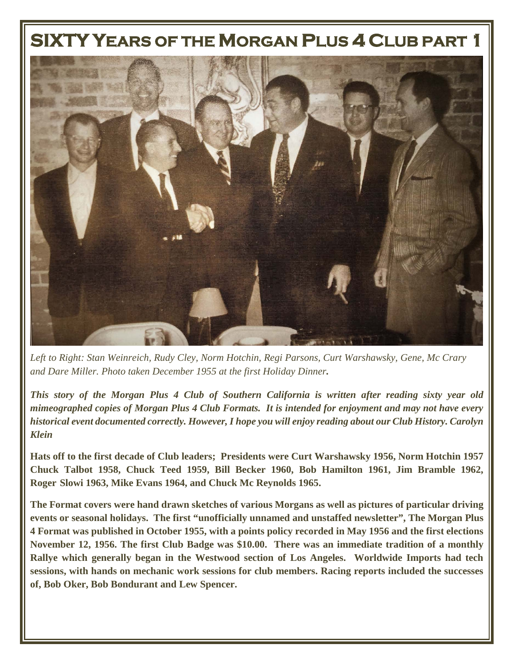## **SIXTY YEARS OF THE MORGAN PLUS 4 CLUB PART 1**



*Left to Right: Stan Weinreich, Rudy Cley, Norm Hotchin, Regi Parsons, Curt Warshawsky, Gene, Mc Crary and Dare Miller. Photo taken December 1955 at the first Holiday Dinner.* 

*This story of the Morgan Plus 4 Club of Southern California is written after reading sixty year old mimeographed copies of Morgan Plus 4 Club Formats. It is intended for enjoyment and may not have every historical event documented correctly. However, I hope you will enjoy reading about our Club History. Carolyn Klein*

**Hats off to the first decade of Club leaders; Presidents were Curt Warshawsky 1956, Norm Hotchin 1957 Chuck Talbot 1958, Chuck Teed 1959, Bill Becker 1960, Bob Hamilton 1961, Jim Bramble 1962, Roger Slowi 1963, Mike Evans 1964, and Chuck Mc Reynolds 1965.** 

**The Format covers were hand drawn sketches of various Morgans as well as pictures of particular driving events or seasonal holidays. The first "unofficially unnamed and unstaffed newsletter", The Morgan Plus 4 Format was published in October 1955, with a points policy recorded in May 1956 and the first elections November 12, 1956. The first Club Badge was \$10.00. There was an immediate tradition of a monthly Rallye which generally began in the Westwood section of Los Angeles. Worldwide Imports had tech sessions, with hands on mechanic work sessions for club members. Racing reports included the successes of, Bob Oker, Bob Bondurant and Lew Spencer.**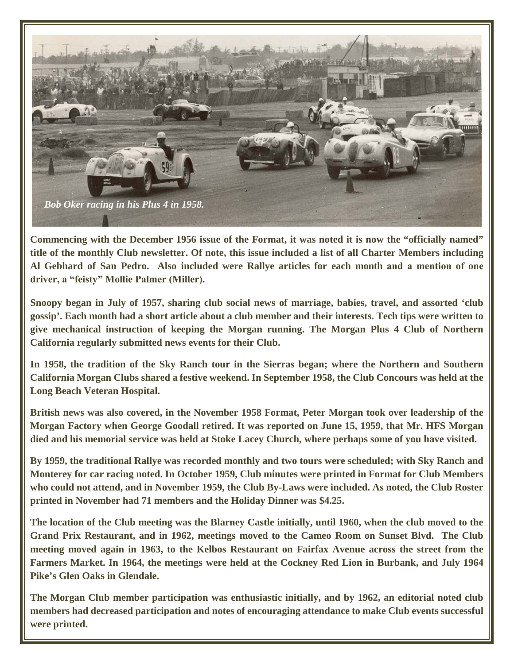

**Commencing with the December 1956 issue of the Format, it was noted it is now the "officially named" title of the monthly Club newsletter. Of note, this issue included a list of all Charter Members including Al Gebhard of San Pedro. Also included were Rallye articles for each month and a mention of one driver, a "feisty" Mollie Palmer (Miller).** 

**Snoopy began in July of 1957, sharing club social news of marriage, babies, travel, and assorted 'club gossip'. Each month had a short article about a club member and their interests. Tech tips were written to give mechanical instruction of keeping the Morgan running. The Morgan Plus 4 Club of Northern California regularly submitted news events for their Club.** 

**In 1958, the tradition of the Sky Ranch tour in the Sierras began; where the Northern and Southern California Morgan Clubs shared a festive weekend. In September 1958, the Club Concours was held at the Long Beach Veteran Hospital.** 

**British news was also covered, in the November 1958 Format, Peter Morgan took over leadership of the Morgan Factory when George Goodall retired. It was reported on June 15, 1959, that Mr. HFS Morgan died and his memorial service was held at Stoke Lacey Church, where perhaps some of you have visited.** 

**By 1959, the traditional Rallye was recorded monthly and two tours were scheduled; with Sky Ranch and Monterey for car racing noted. In October 1959, Club minutes were printed in Format for Club Members who could not attend, and in November 1959, the Club By-Laws were included. As noted, the Club Roster printed in November had 71 members and the Holiday Dinner was \$4.25.** 

**The location of the Club meeting was the Blarney Castle initially, until 1960, when the club moved to the Grand Prix Restaurant, and in 1962, meetings moved to the Cameo Room on Sunset Blvd. The Club meeting moved again in 1963, to the Kelbos Restaurant on Fairfax Avenue across the street from the Farmers Market. In 1964, the meetings were held at the Cockney Red Lion in Burbank, and July 1964 Pike's Glen Oaks in Glendale.** 

**The Morgan Club member participation was enthusiastic initially, and by 1962, an editorial noted club members had decreased participation and notes of encouraging attendance to make Club events successful were printed.**